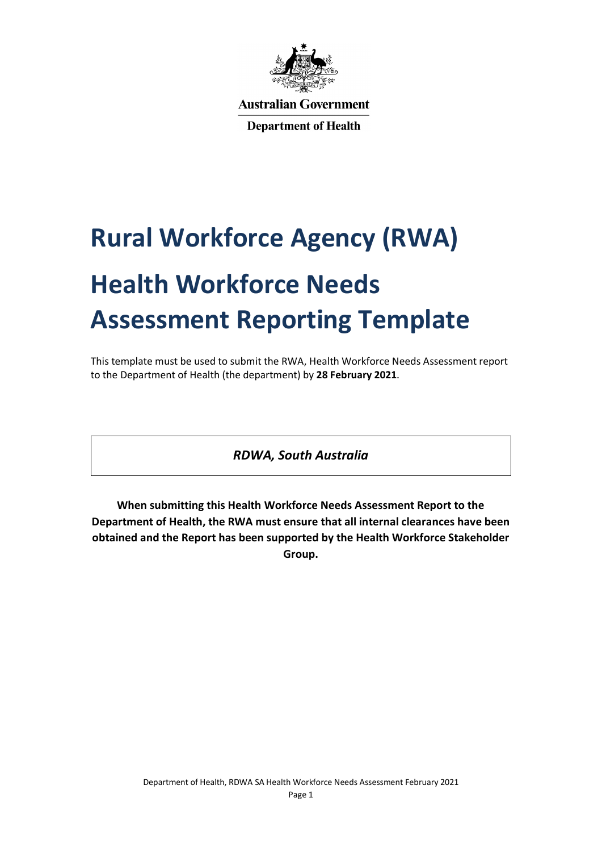

**Australian Government** 

**Department of Health** 

# **Rural Workforce Agency (RWA) Health Workforce Needs Assessment Reporting Template**

This template must be used to submit the RWA, Health Workforce Needs Assessment report to the Department of Health (the department) by **28 February 2021**.

*RDWA, South Australia*

**When submitting this Health Workforce Needs Assessment Report to the Department of Health, the RWA must ensure that all internal clearances have been obtained and the Report has been supported by the Health Workforce Stakeholder Group.**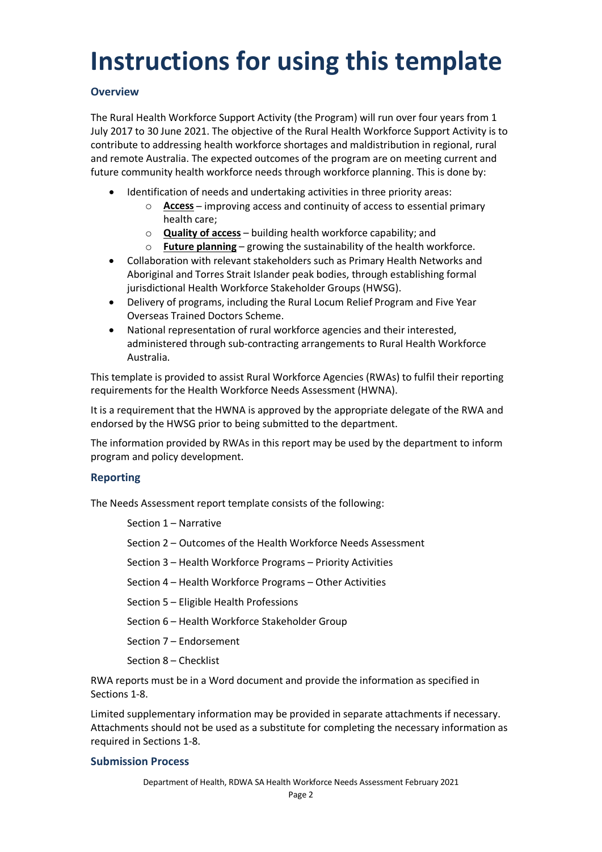## **Instructions for using this template**

### **Overview**

The Rural Health Workforce Support Activity (the Program) will run over four years from 1 July 2017 to 30 June 2021. The objective of the Rural Health Workforce Support Activity is to contribute to addressing health workforce shortages and maldistribution in regional, rural and remote Australia. The expected outcomes of the program are on meeting current and future community health workforce needs through workforce planning. This is done by:

- Identification of needs and undertaking activities in three priority areas:
	- o **Access** improving access and continuity of access to essential primary health care;
	- o **Quality of access** building health workforce capability; and
	- o **Future planning** growing the sustainability of the health workforce.
- Collaboration with relevant stakeholders such as Primary Health Networks and Aboriginal and Torres Strait Islander peak bodies, through establishing formal jurisdictional Health Workforce Stakeholder Groups (HWSG).
- Delivery of programs, including the Rural Locum Relief Program and Five Year Overseas Trained Doctors Scheme.
- National representation of rural workforce agencies and their interested, administered through sub-contracting arrangements to Rural Health Workforce Australia.

This template is provided to assist Rural Workforce Agencies (RWAs) to fulfil their reporting requirements for the Health Workforce Needs Assessment (HWNA).

It is a requirement that the HWNA is approved by the appropriate delegate of the RWA and endorsed by the HWSG prior to being submitted to the department.

The information provided by RWAs in this report may be used by the department to inform program and policy development.

### **Reporting**

The Needs Assessment report template consists of the following:

Section 1 – Narrative

Section 2 – Outcomes of the Health Workforce Needs Assessment

Section 3 – Health Workforce Programs – Priority Activities

Section 4 – Health Workforce Programs – Other Activities

- Section 5 Eligible Health Professions
- Section 6 Health Workforce Stakeholder Group
- Section 7 Endorsement
- Section 8 Checklist

RWA reports must be in a Word document and provide the information as specified in Sections 1-8.

Limited supplementary information may be provided in separate attachments if necessary. Attachments should not be used as a substitute for completing the necessary information as required in Sections 1-8.

#### **Submission Process**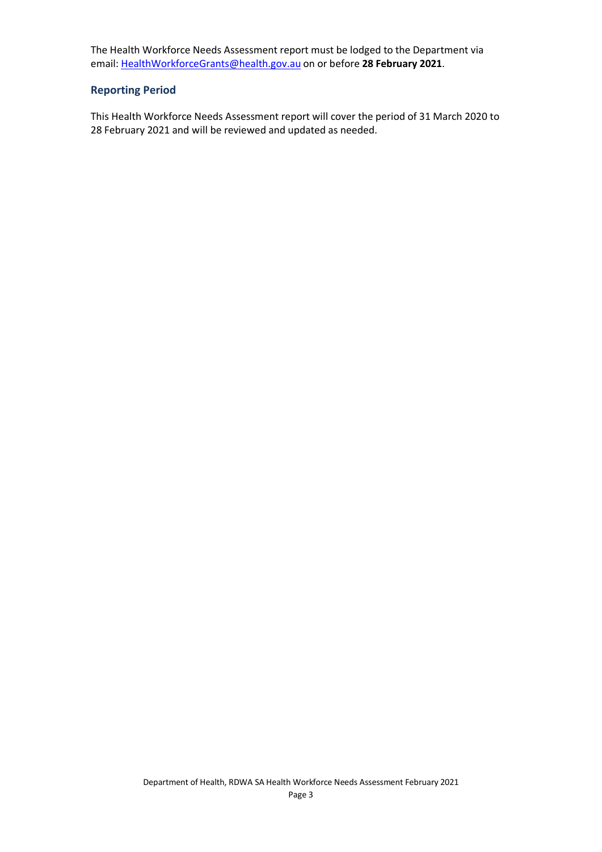The Health Workforce Needs Assessment report must be lodged to the Department via email: [HealthWorkforceGrants@health.gov.au](mailto:HealthWorkforceGrants@health.gov.au) on or before **28 February 2021**.

#### **Reporting Period**

This Health Workforce Needs Assessment report will cover the period of 31 March 2020 to 28 February 2021 and will be reviewed and updated as needed.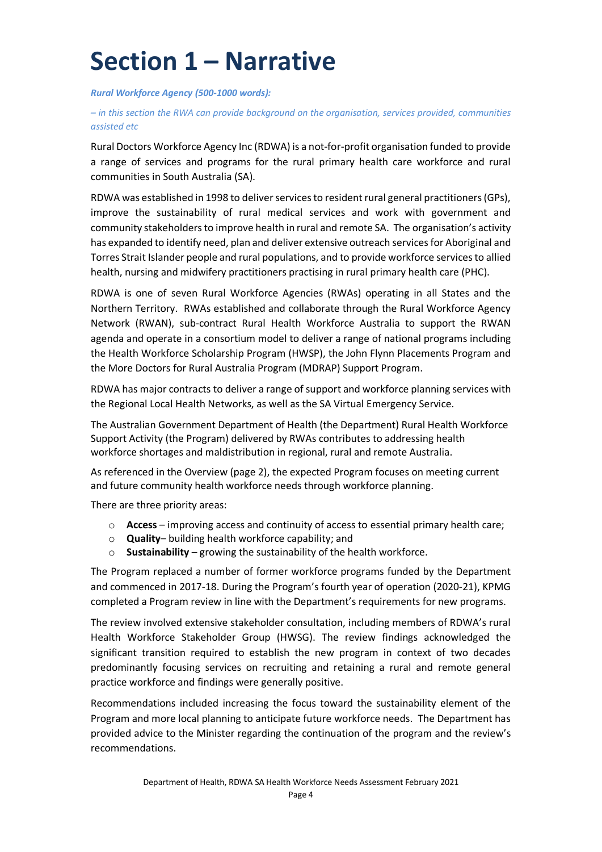## **Section 1 – Narrative**

*Rural Workforce Agency (500-1000 words):*

*– in this section the RWA can provide background on the organisation, services provided, communities assisted etc*

Rural Doctors Workforce Agency Inc (RDWA) is a not-for-profit organisation funded to provide a range of services and programs for the rural primary health care workforce and rural communities in South Australia (SA).

RDWA was established in 1998 to deliver services to resident rural general practitioners (GPs), improve the sustainability of rural medical services and work with government and community stakeholders to improve health in rural and remote SA. The organisation's activity has expanded to identify need, plan and deliver extensive outreach services for Aboriginal and Torres Strait Islander people and rural populations, and to provide workforce services to allied health, nursing and midwifery practitioners practising in rural primary health care (PHC).

RDWA is one of seven Rural Workforce Agencies (RWAs) operating in all States and the Northern Territory. RWAs established and collaborate through the Rural Workforce Agency Network (RWAN), sub-contract Rural Health Workforce Australia to support the RWAN agenda and operate in a consortium model to deliver a range of national programs including the Health Workforce Scholarship Program (HWSP), the John Flynn Placements Program and the More Doctors for Rural Australia Program (MDRAP) Support Program.

RDWA has major contracts to deliver a range of support and workforce planning services with the Regional Local Health Networks, as well as the SA Virtual Emergency Service.

The Australian Government Department of Health (the Department) Rural Health Workforce Support Activity (the Program) delivered by RWAs contributes to addressing health workforce shortages and maldistribution in regional, rural and remote Australia.

As referenced in the Overview (page 2), the expected Program focuses on meeting current and future community health workforce needs through workforce planning.

There are three priority areas:

- o **Access**  improving access and continuity of access to essential primary health care;
- o **Quality** building health workforce capability; and
- o **Sustainability**  growing the sustainability of the health workforce.

The Program replaced a number of former workforce programs funded by the Department and commenced in 2017-18. During the Program's fourth year of operation (2020-21), KPMG completed a Program review in line with the Department's requirements for new programs.

The review involved extensive stakeholder consultation, including members of RDWA's rural Health Workforce Stakeholder Group (HWSG). The review findings acknowledged the significant transition required to establish the new program in context of two decades predominantly focusing services on recruiting and retaining a rural and remote general practice workforce and findings were generally positive.

Recommendations included increasing the focus toward the sustainability element of the Program and more local planning to anticipate future workforce needs. The Department has provided advice to the Minister regarding the continuation of the program and the review's recommendations.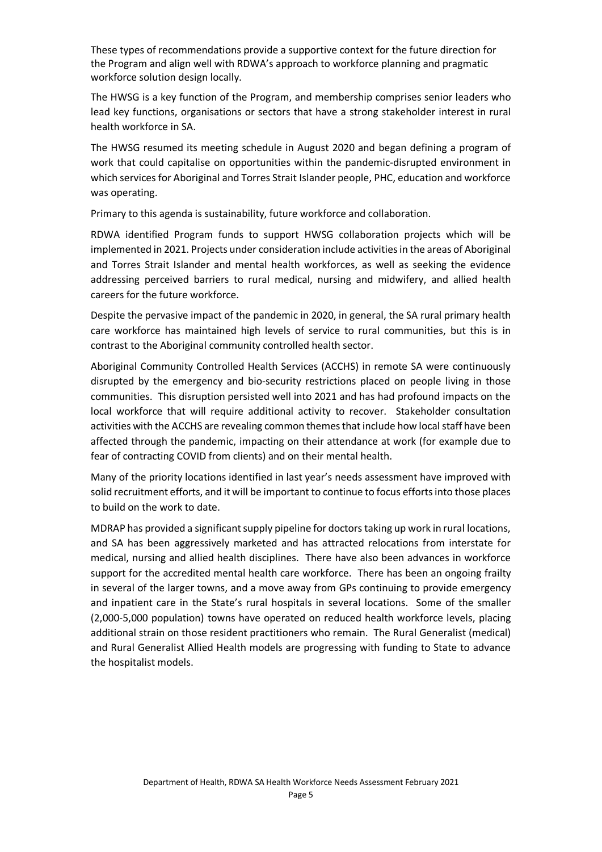These types of recommendations provide a supportive context for the future direction for the Program and align well with RDWA's approach to workforce planning and pragmatic workforce solution design locally.

The HWSG is a key function of the Program, and membership comprises senior leaders who lead key functions, organisations or sectors that have a strong stakeholder interest in rural health workforce in SA.

The HWSG resumed its meeting schedule in August 2020 and began defining a program of work that could capitalise on opportunities within the pandemic-disrupted environment in which services for Aboriginal and Torres Strait Islander people, PHC, education and workforce was operating.

Primary to this agenda is sustainability, future workforce and collaboration.

RDWA identified Program funds to support HWSG collaboration projects which will be implemented in 2021. Projects under consideration include activities in the areas of Aboriginal and Torres Strait Islander and mental health workforces, as well as seeking the evidence addressing perceived barriers to rural medical, nursing and midwifery, and allied health careers for the future workforce.

Despite the pervasive impact of the pandemic in 2020, in general, the SA rural primary health care workforce has maintained high levels of service to rural communities, but this is in contrast to the Aboriginal community controlled health sector.

Aboriginal Community Controlled Health Services (ACCHS) in remote SA were continuously disrupted by the emergency and bio-security restrictions placed on people living in those communities. This disruption persisted well into 2021 and has had profound impacts on the local workforce that will require additional activity to recover. Stakeholder consultation activities with the ACCHS are revealing common themes that include how local staff have been affected through the pandemic, impacting on their attendance at work (for example due to fear of contracting COVID from clients) and on their mental health.

Many of the priority locations identified in last year's needs assessment have improved with solid recruitment efforts, and it will be important to continue to focus efforts into those places to build on the work to date.

MDRAP has provided a significant supply pipeline for doctors taking up work in rural locations, and SA has been aggressively marketed and has attracted relocations from interstate for medical, nursing and allied health disciplines. There have also been advances in workforce support for the accredited mental health care workforce. There has been an ongoing frailty in several of the larger towns, and a move away from GPs continuing to provide emergency and inpatient care in the State's rural hospitals in several locations. Some of the smaller (2,000-5,000 population) towns have operated on reduced health workforce levels, placing additional strain on those resident practitioners who remain. The Rural Generalist (medical) and Rural Generalist Allied Health models are progressing with funding to State to advance the hospitalist models.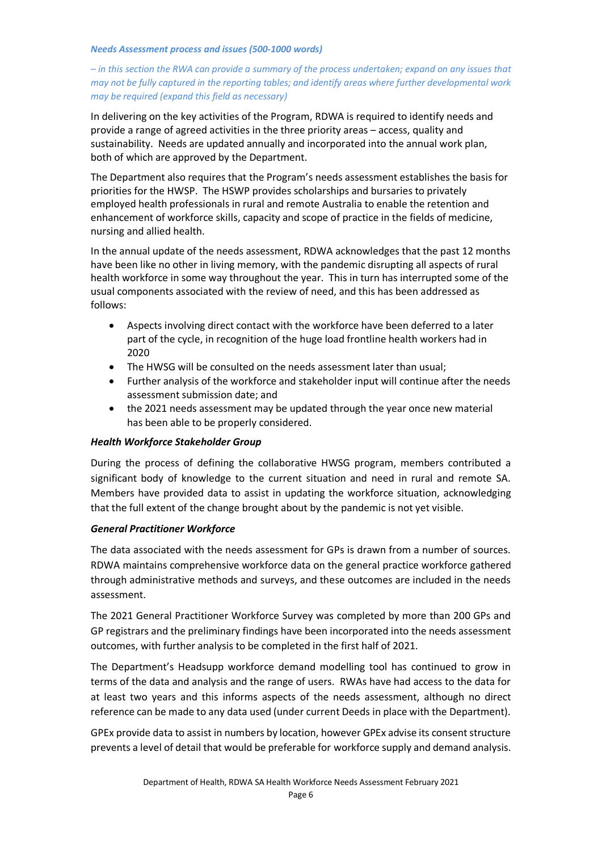#### *Needs Assessment process and issues (500-1000 words)*

#### *– in this section the RWA can provide a summary of the process undertaken; expand on any issues that may not be fully captured in the reporting tables; and identify areas where further developmental work may be required (expand this field as necessary)*

In delivering on the key activities of the Program, RDWA is required to identify needs and provide a range of agreed activities in the three priority areas – access, quality and sustainability. Needs are updated annually and incorporated into the annual work plan, both of which are approved by the Department.

The Department also requires that the Program's needs assessment establishes the basis for priorities for the HWSP. The HSWP provides scholarships and bursaries to privately employed health professionals in rural and remote Australia to enable the retention and enhancement of workforce skills, capacity and scope of practice in the fields of medicine, nursing and allied health.

In the annual update of the needs assessment, RDWA acknowledges that the past 12 months have been like no other in living memory, with the pandemic disrupting all aspects of rural health workforce in some way throughout the year. This in turn has interrupted some of the usual components associated with the review of need, and this has been addressed as follows:

- Aspects involving direct contact with the workforce have been deferred to a later part of the cycle, in recognition of the huge load frontline health workers had in 2020
- The HWSG will be consulted on the needs assessment later than usual;
- Further analysis of the workforce and stakeholder input will continue after the needs assessment submission date; and
- the 2021 needs assessment may be updated through the year once new material has been able to be properly considered.

#### *Health Workforce Stakeholder Group*

During the process of defining the collaborative HWSG program, members contributed a significant body of knowledge to the current situation and need in rural and remote SA. Members have provided data to assist in updating the workforce situation, acknowledging that the full extent of the change brought about by the pandemic is not yet visible.

#### *General Practitioner Workforce*

The data associated with the needs assessment for GPs is drawn from a number of sources. RDWA maintains comprehensive workforce data on the general practice workforce gathered through administrative methods and surveys, and these outcomes are included in the needs assessment.

The 2021 General Practitioner Workforce Survey was completed by more than 200 GPs and GP registrars and the preliminary findings have been incorporated into the needs assessment outcomes, with further analysis to be completed in the first half of 2021.

The Department's Headsupp workforce demand modelling tool has continued to grow in terms of the data and analysis and the range of users. RWAs have had access to the data for at least two years and this informs aspects of the needs assessment, although no direct reference can be made to any data used (under current Deeds in place with the Department).

GPEx provide data to assist in numbers by location, however GPEx advise its consent structure prevents a level of detail that would be preferable for workforce supply and demand analysis.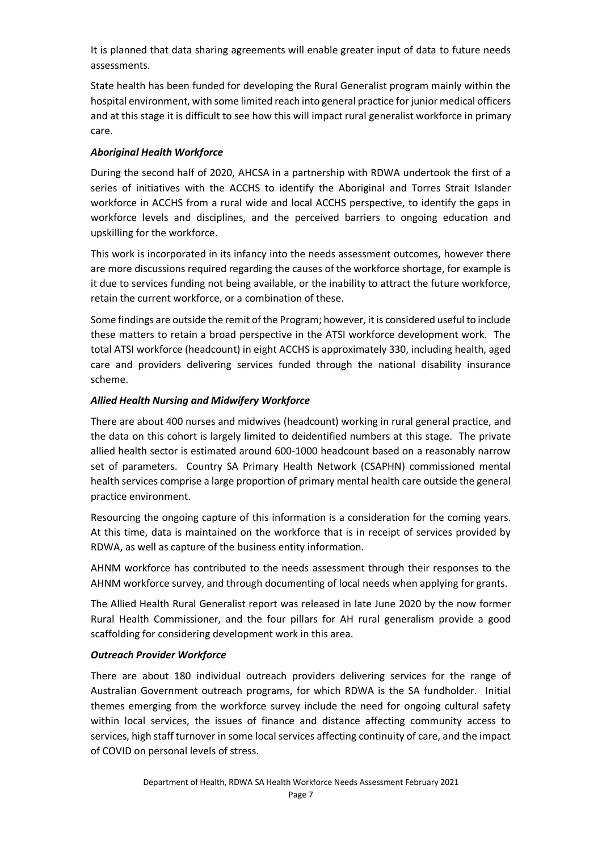It is planned that data sharing agreements will enable greater input of data to future needs assessments.

State health has been funded for developing the Rural Generalist program mainly within the hospital environment, with some limited reach into general practice for junior medical officers and at this stage it is difficult to see how this will impact rural generalist workforce in primary care.

### *Aboriginal Health Workforce*

During the second half of 2020, AHCSA in a partnership with RDWA undertook the first of a series of initiatives with the ACCHS to identify the Aboriginal and Torres Strait Islander workforce in ACCHS from a rural wide and local ACCHS perspective, to identify the gaps in workforce levels and disciplines, and the perceived barriers to ongoing education and upskilling for the workforce.

This work is incorporated in its infancy into the needs assessment outcomes, however there are more discussions required regarding the causes of the workforce shortage, for example is it due to services funding not being available, or the inability to attract the future workforce, retain the current workforce, or a combination of these.

Some findings are outside the remit of the Program; however, it is considered useful to include these matters to retain a broad perspective in the ATSI workforce development work. The total ATSI workforce (headcount) in eight ACCHS is approximately 330, including health, aged care and providers delivering services funded through the national disability insurance scheme.

### *Allied Health Nursing and Midwifery Workforce*

There are about 400 nurses and midwives (headcount) working in rural general practice, and the data on this cohort is largely limited to deidentified numbers at this stage. The private allied health sector is estimated around 600-1000 headcount based on a reasonably narrow set of parameters. Country SA Primary Health Network (CSAPHN) commissioned mental health services comprise a large proportion of primary mental health care outside the general practice environment.

Resourcing the ongoing capture of this information is a consideration for the coming years. At this time, data is maintained on the workforce that is in receipt of services provided by RDWA, as well as capture of the business entity information.

AHNM workforce has contributed to the needs assessment through their responses to the AHNM workforce survey, and through documenting of local needs when applying for grants.

The Allied Health Rural Generalist report was released in late June 2020 by the now former Rural Health Commissioner, and the four pillars for AH rural generalism provide a good scaffolding for considering development work in this area.

### *Outreach Provider Workforce*

There are about 180 individual outreach providers delivering services for the range of Australian Government outreach programs, for which RDWA is the SA fundholder. Initial themes emerging from the workforce survey include the need for ongoing cultural safety within local services, the issues of finance and distance affecting community access to services, high staff turnover in some local services affecting continuity of care, and the impact of COVID on personal levels of stress.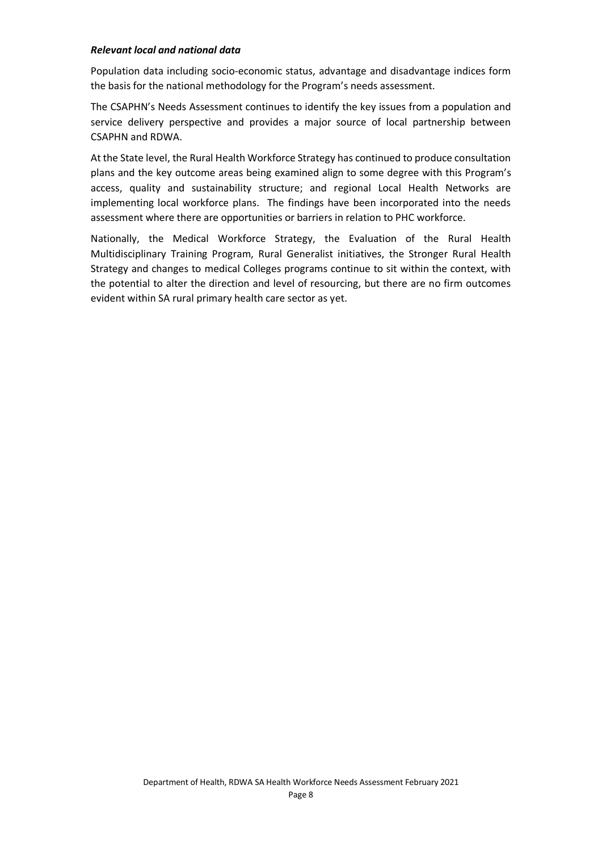#### *Relevant local and national data*

Population data including socio-economic status, advantage and disadvantage indices form the basis for the national methodology for the Program's needs assessment.

The CSAPHN's Needs Assessment continues to identify the key issues from a population and service delivery perspective and provides a major source of local partnership between CSAPHN and RDWA.

At the State level, the Rural Health Workforce Strategy has continued to produce consultation plans and the key outcome areas being examined align to some degree with this Program's access, quality and sustainability structure; and regional Local Health Networks are implementing local workforce plans. The findings have been incorporated into the needs assessment where there are opportunities or barriers in relation to PHC workforce.

Nationally, the Medical Workforce Strategy, the Evaluation of the Rural Health Multidisciplinary Training Program, Rural Generalist initiatives, the Stronger Rural Health Strategy and changes to medical Colleges programs continue to sit within the context, with the potential to alter the direction and level of resourcing, but there are no firm outcomes evident within SA rural primary health care sector as yet.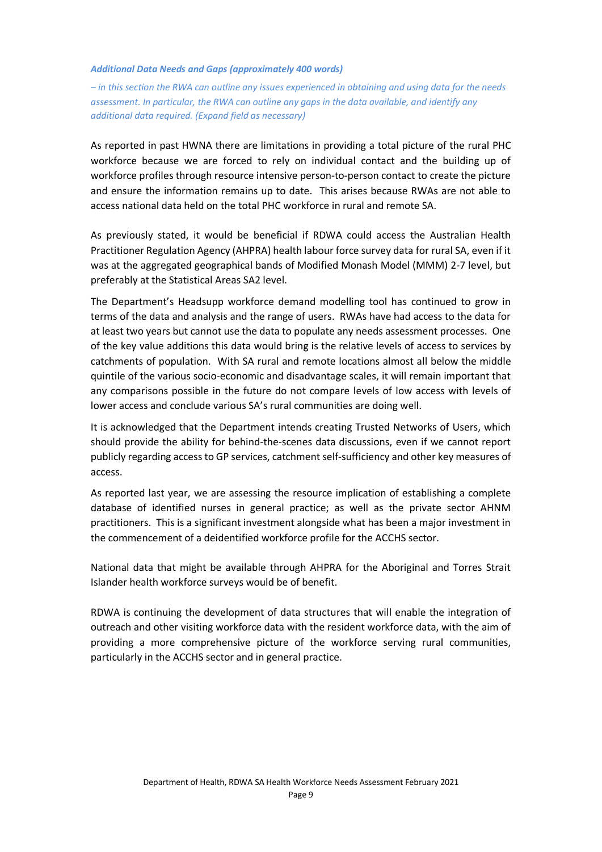#### *Additional Data Needs and Gaps (approximately 400 words)*

*– in this section the RWA can outline any issues experienced in obtaining and using data for the needs assessment. In particular, the RWA can outline any gaps in the data available, and identify any additional data required. (Expand field as necessary)*

As reported in past HWNA there are limitations in providing a total picture of the rural PHC workforce because we are forced to rely on individual contact and the building up of workforce profiles through resource intensive person-to-person contact to create the picture and ensure the information remains up to date. This arises because RWAs are not able to access national data held on the total PHC workforce in rural and remote SA.

As previously stated, it would be beneficial if RDWA could access the Australian Health Practitioner Regulation Agency (AHPRA) health labour force survey data for rural SA, even if it was at the aggregated geographical bands of Modified Monash Model (MMM) 2-7 level, but preferably at the Statistical Areas SA2 level.

The Department's Headsupp workforce demand modelling tool has continued to grow in terms of the data and analysis and the range of users. RWAs have had access to the data for at least two years but cannot use the data to populate any needs assessment processes. One of the key value additions this data would bring is the relative levels of access to services by catchments of population. With SA rural and remote locations almost all below the middle quintile of the various socio-economic and disadvantage scales, it will remain important that any comparisons possible in the future do not compare levels of low access with levels of lower access and conclude various SA's rural communities are doing well.

It is acknowledged that the Department intends creating Trusted Networks of Users, which should provide the ability for behind-the-scenes data discussions, even if we cannot report publicly regarding access to GP services, catchment self-sufficiency and other key measures of access.

As reported last year, we are assessing the resource implication of establishing a complete database of identified nurses in general practice; as well as the private sector AHNM practitioners. This is a significant investment alongside what has been a major investment in the commencement of a deidentified workforce profile for the ACCHS sector.

National data that might be available through AHPRA for the Aboriginal and Torres Strait Islander health workforce surveys would be of benefit.

RDWA is continuing the development of data structures that will enable the integration of outreach and other visiting workforce data with the resident workforce data, with the aim of providing a more comprehensive picture of the workforce serving rural communities, particularly in the ACCHS sector and in general practice.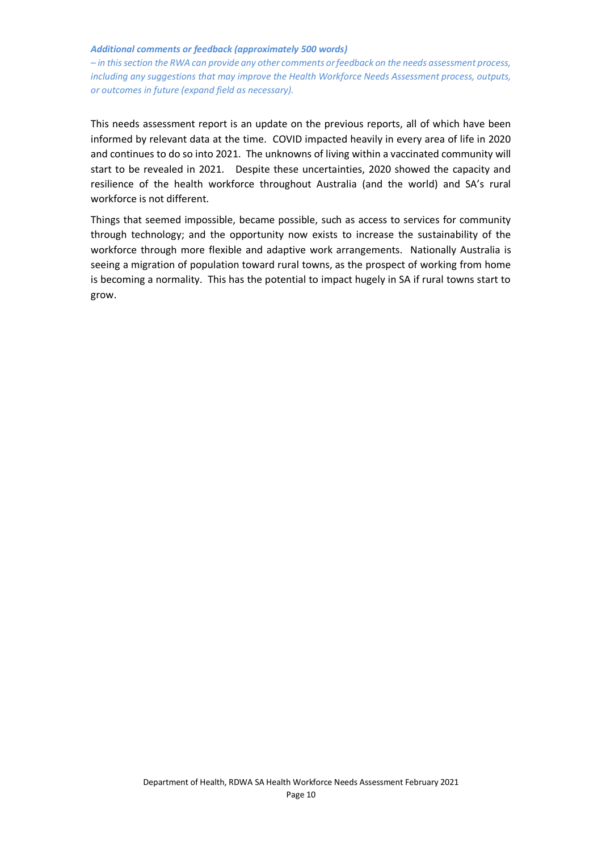#### *Additional comments or feedback (approximately 500 words)*

*– in this section the RWA can provide any other comments or feedback on the needs assessment process, including any suggestions that may improve the Health Workforce Needs Assessment process, outputs, or outcomes in future (expand field as necessary).*

This needs assessment report is an update on the previous reports, all of which have been informed by relevant data at the time. COVID impacted heavily in every area of life in 2020 and continues to do so into 2021. The unknowns of living within a vaccinated community will start to be revealed in 2021. Despite these uncertainties, 2020 showed the capacity and resilience of the health workforce throughout Australia (and the world) and SA's rural workforce is not different.

Things that seemed impossible, became possible, such as access to services for community through technology; and the opportunity now exists to increase the sustainability of the workforce through more flexible and adaptive work arrangements. Nationally Australia is seeing a migration of population toward rural towns, as the prospect of working from home is becoming a normality. This has the potential to impact hugely in SA if rural towns start to grow.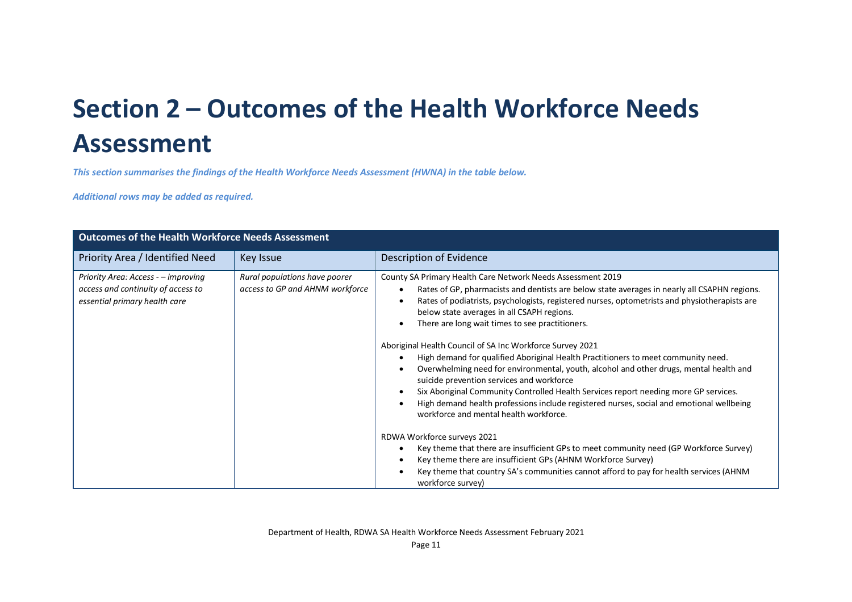## **Section 2 – Outcomes of the Health Workforce Needs Assessment**

*This section summarises the findings of the Health Workforce Needs Assessment (HWNA) in the table below.*

*Additional rows may be added as required.*

| <b>Outcomes of the Health Workforce Needs Assessment</b>                                                   |                                                                  |                                                                                                                                                                                                                                                                                                                                                                                                                                                                                                                                                                                                                                                                                                                                                                                                                                                                                      |  |  |  |
|------------------------------------------------------------------------------------------------------------|------------------------------------------------------------------|--------------------------------------------------------------------------------------------------------------------------------------------------------------------------------------------------------------------------------------------------------------------------------------------------------------------------------------------------------------------------------------------------------------------------------------------------------------------------------------------------------------------------------------------------------------------------------------------------------------------------------------------------------------------------------------------------------------------------------------------------------------------------------------------------------------------------------------------------------------------------------------|--|--|--|
| Priority Area / Identified Need                                                                            | Key Issue                                                        | <b>Description of Evidence</b>                                                                                                                                                                                                                                                                                                                                                                                                                                                                                                                                                                                                                                                                                                                                                                                                                                                       |  |  |  |
| Priority Area: Access - - improving<br>access and continuity of access to<br>essential primary health care | Rural populations have poorer<br>access to GP and AHNM workforce | County SA Primary Health Care Network Needs Assessment 2019<br>Rates of GP, pharmacists and dentists are below state averages in nearly all CSAPHN regions.<br>Rates of podiatrists, psychologists, registered nurses, optometrists and physiotherapists are<br>below state averages in all CSAPH regions.<br>There are long wait times to see practitioners.<br>Aboriginal Health Council of SA Inc Workforce Survey 2021<br>High demand for qualified Aboriginal Health Practitioners to meet community need.<br>Overwhelming need for environmental, youth, alcohol and other drugs, mental health and<br>suicide prevention services and workforce<br>Six Aboriginal Community Controlled Health Services report needing more GP services.<br>High demand health professions include registered nurses, social and emotional wellbeing<br>workforce and mental health workforce. |  |  |  |
|                                                                                                            |                                                                  | RDWA Workforce surveys 2021<br>Key theme that there are insufficient GPs to meet community need (GP Workforce Survey)<br>Key theme there are insufficient GPs (AHNM Workforce Survey)<br>Key theme that country SA's communities cannot afford to pay for health services (AHNM<br>workforce survey)                                                                                                                                                                                                                                                                                                                                                                                                                                                                                                                                                                                 |  |  |  |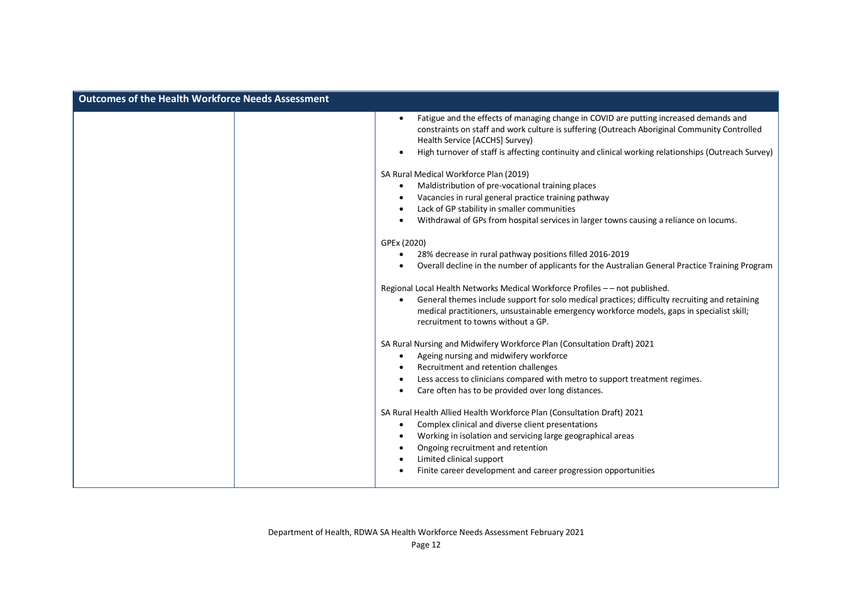| <b>Outcomes of the Health Workforce Needs Assessment</b> |                                                                                                                                                                                                                                                                                                                                                                                                                                                                                                                                                                                                                                                                                                                                                                                                                                                                                                                                                                                                                                                                                                                                                                                                                                                                                                                                                                                                                                                                                                                                              |
|----------------------------------------------------------|----------------------------------------------------------------------------------------------------------------------------------------------------------------------------------------------------------------------------------------------------------------------------------------------------------------------------------------------------------------------------------------------------------------------------------------------------------------------------------------------------------------------------------------------------------------------------------------------------------------------------------------------------------------------------------------------------------------------------------------------------------------------------------------------------------------------------------------------------------------------------------------------------------------------------------------------------------------------------------------------------------------------------------------------------------------------------------------------------------------------------------------------------------------------------------------------------------------------------------------------------------------------------------------------------------------------------------------------------------------------------------------------------------------------------------------------------------------------------------------------------------------------------------------------|
|                                                          | Fatigue and the effects of managing change in COVID are putting increased demands and<br>$\bullet$<br>constraints on staff and work culture is suffering (Outreach Aboriginal Community Controlled<br>Health Service [ACCHS] Survey)<br>High turnover of staff is affecting continuity and clinical working relationships (Outreach Survey)<br>$\bullet$<br>SA Rural Medical Workforce Plan (2019)<br>Maldistribution of pre-vocational training places<br>$\bullet$<br>Vacancies in rural general practice training pathway<br>Lack of GP stability in smaller communities<br>$\bullet$<br>Withdrawal of GPs from hospital services in larger towns causing a reliance on locums.<br>$\bullet$<br>GPEx (2020)<br>28% decrease in rural pathway positions filled 2016-2019<br>Overall decline in the number of applicants for the Australian General Practice Training Program<br>Regional Local Health Networks Medical Workforce Profiles -- not published.<br>General themes include support for solo medical practices; difficulty recruiting and retaining<br>medical practitioners, unsustainable emergency workforce models, gaps in specialist skill;<br>recruitment to towns without a GP.<br>SA Rural Nursing and Midwifery Workforce Plan (Consultation Draft) 2021<br>Ageing nursing and midwifery workforce<br>$\bullet$<br>Recruitment and retention challenges<br>Less access to clinicians compared with metro to support treatment regimes.<br>$\bullet$<br>Care often has to be provided over long distances.<br>$\bullet$ |
|                                                          | SA Rural Health Allied Health Workforce Plan (Consultation Draft) 2021<br>Complex clinical and diverse client presentations<br>٠<br>Working in isolation and servicing large geographical areas<br>٠<br>Ongoing recruitment and retention<br>$\bullet$<br>Limited clinical support<br>$\bullet$<br>Finite career development and career progression opportunities                                                                                                                                                                                                                                                                                                                                                                                                                                                                                                                                                                                                                                                                                                                                                                                                                                                                                                                                                                                                                                                                                                                                                                            |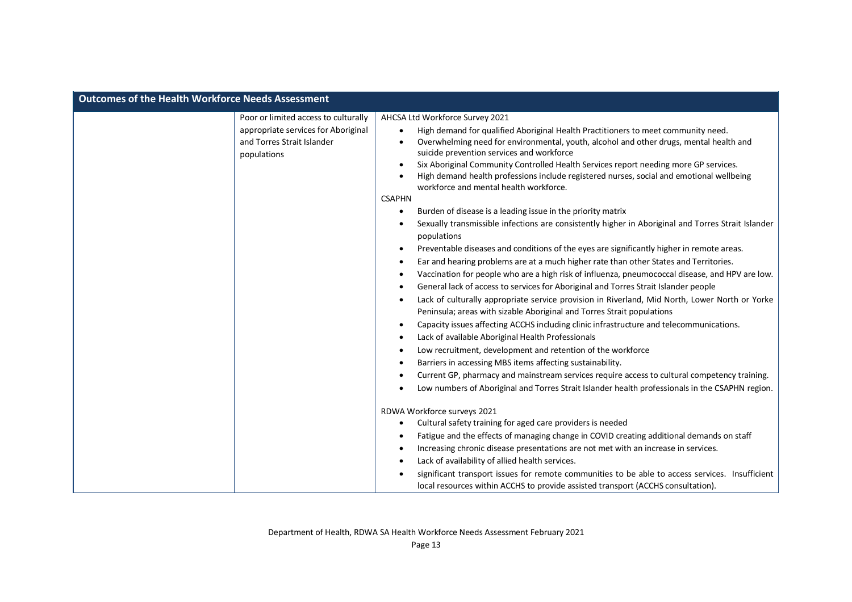| <b>Outcomes of the Health Workforce Needs Assessment</b> |                                                                                                                          |                                                                                                                                                                                                                                                                                                                                                                                                                                                                                                                                                                                                                                                                                                                                                                                                                                                                                                                                                                                                                                                                                                                                                                                                                                                                                                                                                                                                                                                                                                                                                                                                                                                                                                                                                                                                                                                                                                                      |
|----------------------------------------------------------|--------------------------------------------------------------------------------------------------------------------------|----------------------------------------------------------------------------------------------------------------------------------------------------------------------------------------------------------------------------------------------------------------------------------------------------------------------------------------------------------------------------------------------------------------------------------------------------------------------------------------------------------------------------------------------------------------------------------------------------------------------------------------------------------------------------------------------------------------------------------------------------------------------------------------------------------------------------------------------------------------------------------------------------------------------------------------------------------------------------------------------------------------------------------------------------------------------------------------------------------------------------------------------------------------------------------------------------------------------------------------------------------------------------------------------------------------------------------------------------------------------------------------------------------------------------------------------------------------------------------------------------------------------------------------------------------------------------------------------------------------------------------------------------------------------------------------------------------------------------------------------------------------------------------------------------------------------------------------------------------------------------------------------------------------------|
|                                                          | Poor or limited access to culturally<br>appropriate services for Aboriginal<br>and Torres Strait Islander<br>populations | AHCSA Ltd Workforce Survey 2021<br>High demand for qualified Aboriginal Health Practitioners to meet community need.<br>$\bullet$<br>Overwhelming need for environmental, youth, alcohol and other drugs, mental health and<br>$\bullet$<br>suicide prevention services and workforce<br>Six Aboriginal Community Controlled Health Services report needing more GP services.<br>$\bullet$<br>High demand health professions include registered nurses, social and emotional wellbeing<br>$\bullet$<br>workforce and mental health workforce.<br><b>CSAPHN</b><br>Burden of disease is a leading issue in the priority matrix<br>$\bullet$<br>Sexually transmissible infections are consistently higher in Aboriginal and Torres Strait Islander<br>٠<br>populations<br>Preventable diseases and conditions of the eyes are significantly higher in remote areas.<br>$\bullet$<br>Ear and hearing problems are at a much higher rate than other States and Territories.<br>$\bullet$<br>Vaccination for people who are a high risk of influenza, pneumococcal disease, and HPV are low.<br>$\bullet$<br>General lack of access to services for Aboriginal and Torres Strait Islander people<br>٠<br>Lack of culturally appropriate service provision in Riverland, Mid North, Lower North or Yorke<br>$\bullet$<br>Peninsula; areas with sizable Aboriginal and Torres Strait populations<br>Capacity issues affecting ACCHS including clinic infrastructure and telecommunications.<br>$\bullet$<br>Lack of available Aboriginal Health Professionals<br>$\bullet$<br>Low recruitment, development and retention of the workforce<br>٠<br>Barriers in accessing MBS items affecting sustainability.<br>$\bullet$<br>Current GP, pharmacy and mainstream services require access to cultural competency training.<br>Low numbers of Aboriginal and Torres Strait Islander health professionals in the CSAPHN region. |
|                                                          |                                                                                                                          | RDWA Workforce surveys 2021<br>Cultural safety training for aged care providers is needed<br>$\bullet$<br>Fatigue and the effects of managing change in COVID creating additional demands on staff<br>٠<br>Increasing chronic disease presentations are not met with an increase in services.<br>٠<br>Lack of availability of allied health services.<br>٠<br>significant transport issues for remote communities to be able to access services. Insufficient<br>local resources within ACCHS to provide assisted transport (ACCHS consultation).                                                                                                                                                                                                                                                                                                                                                                                                                                                                                                                                                                                                                                                                                                                                                                                                                                                                                                                                                                                                                                                                                                                                                                                                                                                                                                                                                                    |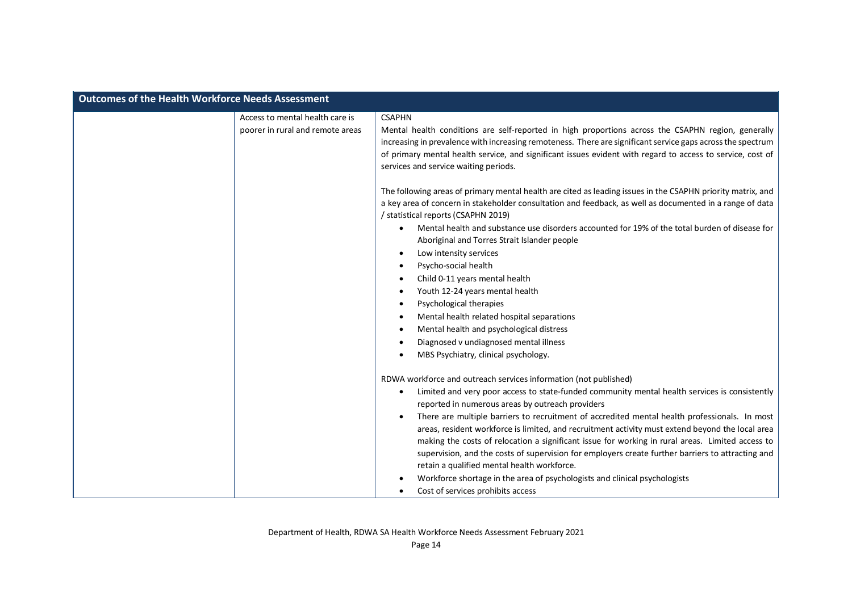| <b>Outcomes of the Health Workforce Needs Assessment</b> |                                                                     |                                                                                                                                                                                                                                                                                                                                                                                                                                                                                                                                                                                                                                                                                                                                                                                                                                                                                                                                                                                                                                                                                                                                                                                                                             |
|----------------------------------------------------------|---------------------------------------------------------------------|-----------------------------------------------------------------------------------------------------------------------------------------------------------------------------------------------------------------------------------------------------------------------------------------------------------------------------------------------------------------------------------------------------------------------------------------------------------------------------------------------------------------------------------------------------------------------------------------------------------------------------------------------------------------------------------------------------------------------------------------------------------------------------------------------------------------------------------------------------------------------------------------------------------------------------------------------------------------------------------------------------------------------------------------------------------------------------------------------------------------------------------------------------------------------------------------------------------------------------|
|                                                          | Access to mental health care is<br>poorer in rural and remote areas | <b>CSAPHN</b><br>Mental health conditions are self-reported in high proportions across the CSAPHN region, generally<br>increasing in prevalence with increasing remoteness. There are significant service gaps across the spectrum<br>of primary mental health service, and significant issues evident with regard to access to service, cost of<br>services and service waiting periods.<br>The following areas of primary mental health are cited as leading issues in the CSAPHN priority matrix, and<br>a key area of concern in stakeholder consultation and feedback, as well as documented in a range of data<br>/ statistical reports (CSAPHN 2019)<br>Mental health and substance use disorders accounted for 19% of the total burden of disease for<br>Aboriginal and Torres Strait Islander people<br>Low intensity services<br>$\bullet$<br>Psycho-social health<br>$\bullet$<br>Child 0-11 years mental health<br>٠<br>Youth 12-24 years mental health<br>٠<br>Psychological therapies<br>٠<br>Mental health related hospital separations<br>$\bullet$<br>Mental health and psychological distress<br>$\bullet$<br>Diagnosed v undiagnosed mental illness<br>$\bullet$<br>MBS Psychiatry, clinical psychology. |
|                                                          |                                                                     | RDWA workforce and outreach services information (not published)<br>Limited and very poor access to state-funded community mental health services is consistently<br>$\bullet$<br>reported in numerous areas by outreach providers<br>There are multiple barriers to recruitment of accredited mental health professionals. In most<br>areas, resident workforce is limited, and recruitment activity must extend beyond the local area<br>making the costs of relocation a significant issue for working in rural areas. Limited access to<br>supervision, and the costs of supervision for employers create further barriers to attracting and<br>retain a qualified mental health workforce.<br>Workforce shortage in the area of psychologists and clinical psychologists<br>Cost of services prohibits access                                                                                                                                                                                                                                                                                                                                                                                                          |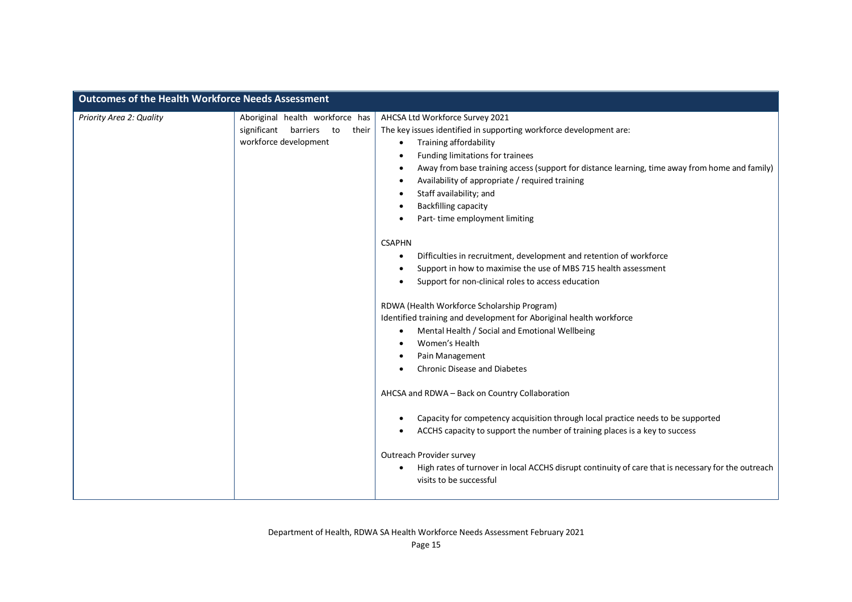| Priority Area 2: Quality | Aboriginal health workforce has<br>significant barriers<br>to<br>their | AHCSA Ltd Workforce Survey 2021<br>The key issues identified in supporting workforce development are:                                                                                                                                                                                                                                                                                                                                                                                                                                                                                                                                                                                                                                                                                                                                                                                             |
|--------------------------|------------------------------------------------------------------------|---------------------------------------------------------------------------------------------------------------------------------------------------------------------------------------------------------------------------------------------------------------------------------------------------------------------------------------------------------------------------------------------------------------------------------------------------------------------------------------------------------------------------------------------------------------------------------------------------------------------------------------------------------------------------------------------------------------------------------------------------------------------------------------------------------------------------------------------------------------------------------------------------|
| workforce development    |                                                                        | Training affordability<br>$\bullet$<br>Funding limitations for trainees<br>٠<br>Away from base training access (support for distance learning, time away from home and family)<br>$\bullet$<br>Availability of appropriate / required training<br>$\bullet$<br>Staff availability; and<br>٠<br><b>Backfilling capacity</b><br>٠<br>Part-time employment limiting<br>$\bullet$                                                                                                                                                                                                                                                                                                                                                                                                                                                                                                                     |
|                          |                                                                        | <b>CSAPHN</b><br>Difficulties in recruitment, development and retention of workforce<br>٠<br>Support in how to maximise the use of MBS 715 health assessment<br>$\bullet$<br>Support for non-clinical roles to access education<br>$\bullet$<br>RDWA (Health Workforce Scholarship Program)<br>Identified training and development for Aboriginal health workforce<br>Mental Health / Social and Emotional Wellbeing<br>٠<br>Women's Health<br>Pain Management<br>$\bullet$<br><b>Chronic Disease and Diabetes</b><br>AHCSA and RDWA - Back on Country Collaboration<br>Capacity for competency acquisition through local practice needs to be supported<br>٠<br>ACCHS capacity to support the number of training places is a key to success<br>$\bullet$<br>Outreach Provider survey<br>High rates of turnover in local ACCHS disrupt continuity of care that is necessary for the outreach<br>٠ |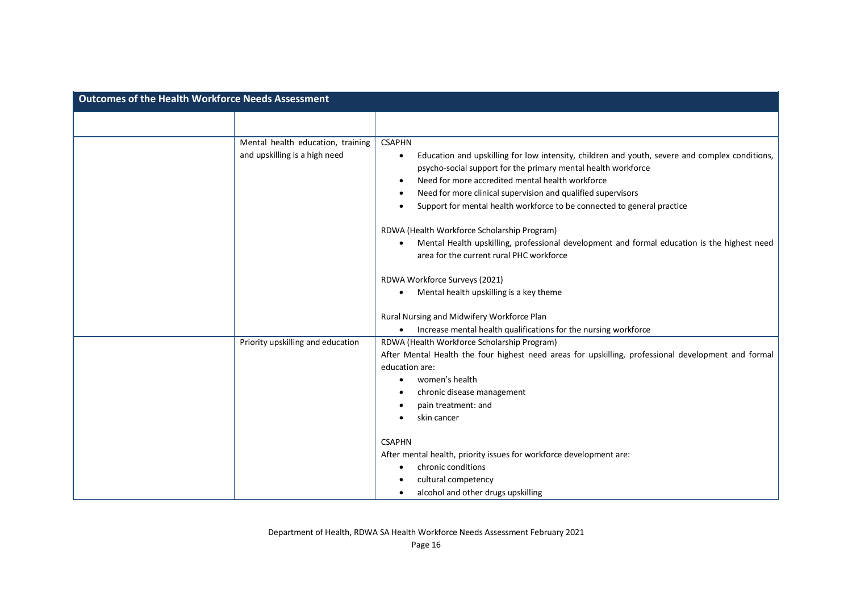| <b>Outcomes of the Health Workforce Needs Assessment</b> |                                                                    |                                                                                                                                                                                                                                                                                                                                                                                                           |
|----------------------------------------------------------|--------------------------------------------------------------------|-----------------------------------------------------------------------------------------------------------------------------------------------------------------------------------------------------------------------------------------------------------------------------------------------------------------------------------------------------------------------------------------------------------|
|                                                          |                                                                    |                                                                                                                                                                                                                                                                                                                                                                                                           |
|                                                          | Mental health education, training<br>and upskilling is a high need | <b>CSAPHN</b><br>Education and upskilling for low intensity, children and youth, severe and complex conditions,<br>$\bullet$<br>psycho-social support for the primary mental health workforce<br>Need for more accredited mental health workforce<br>$\bullet$<br>Need for more clinical supervision and qualified supervisors<br>Support for mental health workforce to be connected to general practice |
|                                                          |                                                                    | RDWA (Health Workforce Scholarship Program)<br>Mental Health upskilling, professional development and formal education is the highest need<br>area for the current rural PHC workforce                                                                                                                                                                                                                    |
|                                                          |                                                                    | RDWA Workforce Surveys (2021)<br>Mental health upskilling is a key theme<br>$\bullet$                                                                                                                                                                                                                                                                                                                     |
|                                                          |                                                                    | Rural Nursing and Midwifery Workforce Plan<br>Increase mental health qualifications for the nursing workforce                                                                                                                                                                                                                                                                                             |
|                                                          | Priority upskilling and education                                  | RDWA (Health Workforce Scholarship Program)<br>After Mental Health the four highest need areas for upskilling, professional development and formal<br>education are:<br>women's health<br>chronic disease management<br>pain treatment: and<br>skin cancer                                                                                                                                                |
|                                                          |                                                                    | <b>CSAPHN</b><br>After mental health, priority issues for workforce development are:<br>chronic conditions<br>cultural competency<br>alcohol and other drugs upskilling                                                                                                                                                                                                                                   |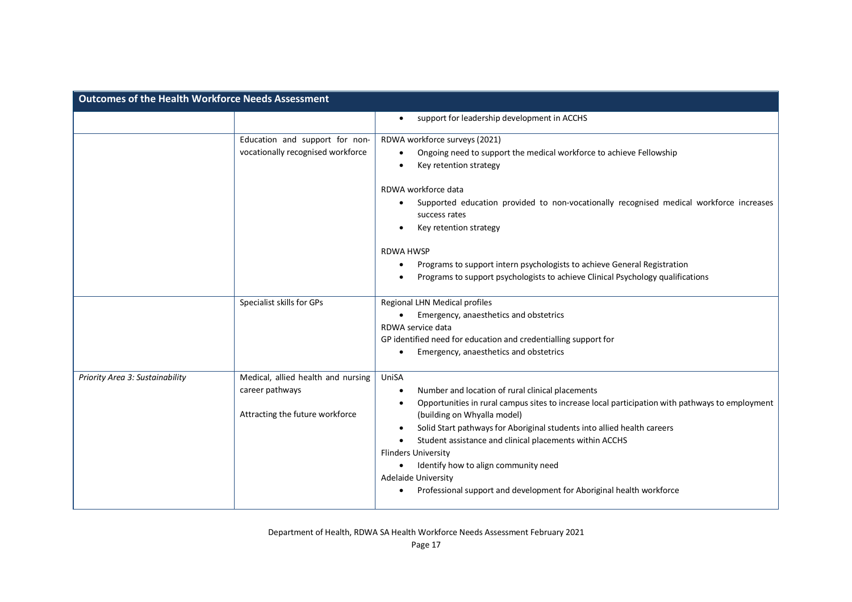| <b>Outcomes of the Health Workforce Needs Assessment</b> |                                                                                          |                                                                                                                                                                                                                                                                                                                                                                                                                                                                                                                  |
|----------------------------------------------------------|------------------------------------------------------------------------------------------|------------------------------------------------------------------------------------------------------------------------------------------------------------------------------------------------------------------------------------------------------------------------------------------------------------------------------------------------------------------------------------------------------------------------------------------------------------------------------------------------------------------|
|                                                          |                                                                                          | support for leadership development in ACCHS<br>$\bullet$                                                                                                                                                                                                                                                                                                                                                                                                                                                         |
|                                                          | Education and support for non-<br>vocationally recognised workforce                      | RDWA workforce surveys (2021)<br>Ongoing need to support the medical workforce to achieve Fellowship<br>Key retention strategy<br>RDWA workforce data<br>Supported education provided to non-vocationally recognised medical workforce increases<br>success rates<br>Key retention strategy<br><b>RDWA HWSP</b><br>Programs to support intern psychologists to achieve General Registration<br>٠<br>Programs to support psychologists to achieve Clinical Psychology qualifications                              |
|                                                          | Specialist skills for GPs                                                                | Regional LHN Medical profiles<br>Emergency, anaesthetics and obstetrics<br>$\bullet$<br>RDWA service data<br>GP identified need for education and credentialling support for<br>Emergency, anaesthetics and obstetrics<br>$\bullet$                                                                                                                                                                                                                                                                              |
| Priority Area 3: Sustainability                          | Medical, allied health and nursing<br>career pathways<br>Attracting the future workforce | UniSA<br>Number and location of rural clinical placements<br>٠<br>Opportunities in rural campus sites to increase local participation with pathways to employment<br>(building on Whyalla model)<br>Solid Start pathways for Aboriginal students into allied health careers<br>٠<br>Student assistance and clinical placements within ACCHS<br><b>Flinders University</b><br>Identify how to align community need<br>Adelaide University<br>Professional support and development for Aboriginal health workforce |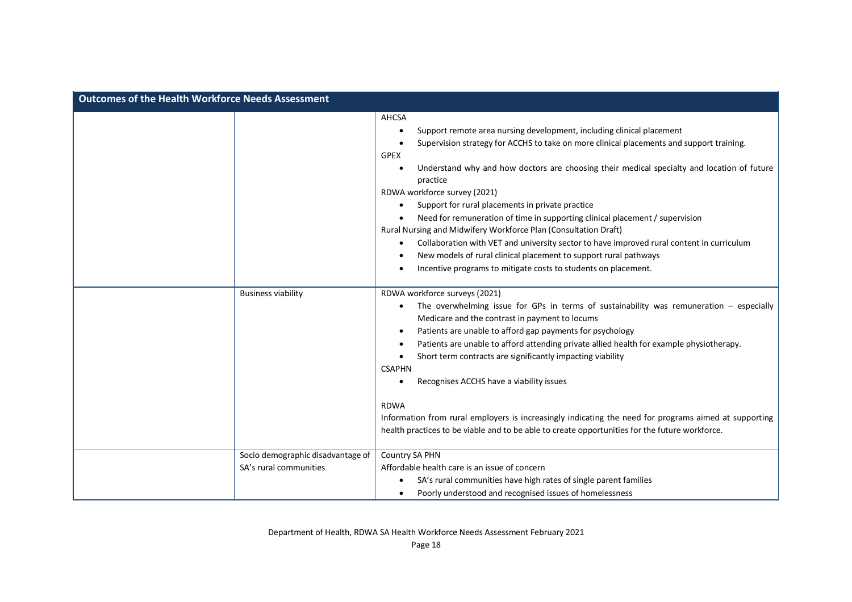| <b>Outcomes of the Health Workforce Needs Assessment</b>    |                                                                                                                                                                                                                                                                                                                                                                                                                                                                                                                                                                                                                                                                                                                                                                               |
|-------------------------------------------------------------|-------------------------------------------------------------------------------------------------------------------------------------------------------------------------------------------------------------------------------------------------------------------------------------------------------------------------------------------------------------------------------------------------------------------------------------------------------------------------------------------------------------------------------------------------------------------------------------------------------------------------------------------------------------------------------------------------------------------------------------------------------------------------------|
|                                                             | AHCSA<br>Support remote area nursing development, including clinical placement<br>Supervision strategy for ACCHS to take on more clinical placements and support training.<br><b>GPEX</b><br>Understand why and how doctors are choosing their medical specialty and location of future<br>practice<br>RDWA workforce survey (2021)<br>Support for rural placements in private practice<br>Need for remuneration of time in supporting clinical placement / supervision<br>Rural Nursing and Midwifery Workforce Plan (Consultation Draft)<br>Collaboration with VET and university sector to have improved rural content in curriculum<br>New models of rural clinical placement to support rural pathways<br>Incentive programs to mitigate costs to students on placement. |
| <b>Business viability</b>                                   | RDWA workforce surveys (2021)<br>The overwhelming issue for GPs in terms of sustainability was remuneration $-$ especially<br>Medicare and the contrast in payment to locums<br>Patients are unable to afford gap payments for psychology<br>Patients are unable to afford attending private allied health for example physiotherapy.<br>Short term contracts are significantly impacting viability<br><b>CSAPHN</b><br>Recognises ACCHS have a viability issues<br><b>RDWA</b><br>Information from rural employers is increasingly indicating the need for programs aimed at supporting<br>health practices to be viable and to be able to create opportunities for the future workforce.                                                                                    |
| Socio demographic disadvantage of<br>SA's rural communities | Country SA PHN<br>Affordable health care is an issue of concern<br>SA's rural communities have high rates of single parent families<br>Poorly understood and recognised issues of homelessness                                                                                                                                                                                                                                                                                                                                                                                                                                                                                                                                                                                |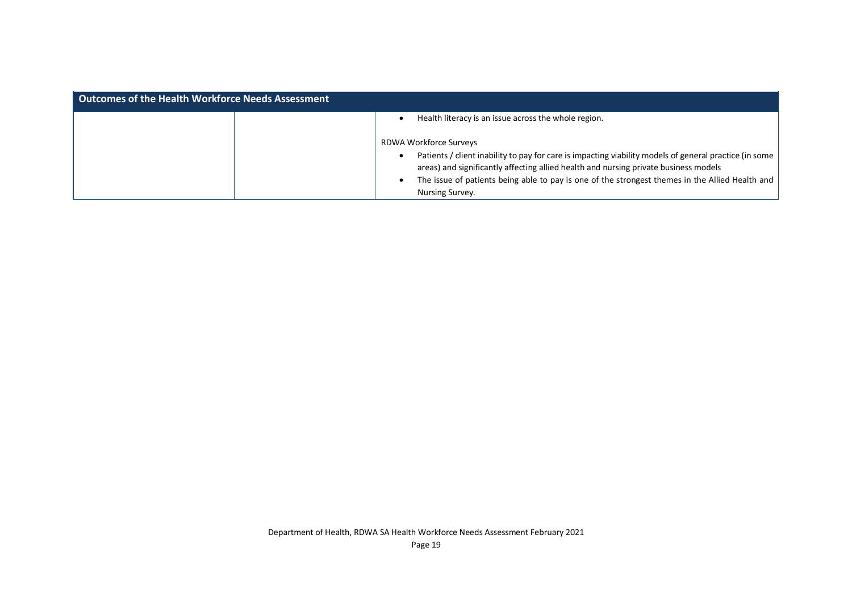| <b>Outcomes of the Health Workforce Needs Assessment</b> |                                                                                                        |
|----------------------------------------------------------|--------------------------------------------------------------------------------------------------------|
|                                                          | Health literacy is an issue across the whole region.                                                   |
|                                                          | RDWA Workforce Surveys                                                                                 |
|                                                          | Patients / client inability to pay for care is impacting viability models of general practice (in some |
|                                                          | areas) and significantly affecting allied health and nursing private business models                   |
|                                                          | The issue of patients being able to pay is one of the strongest themes in the Allied Health and        |
|                                                          | Nursing Survey.                                                                                        |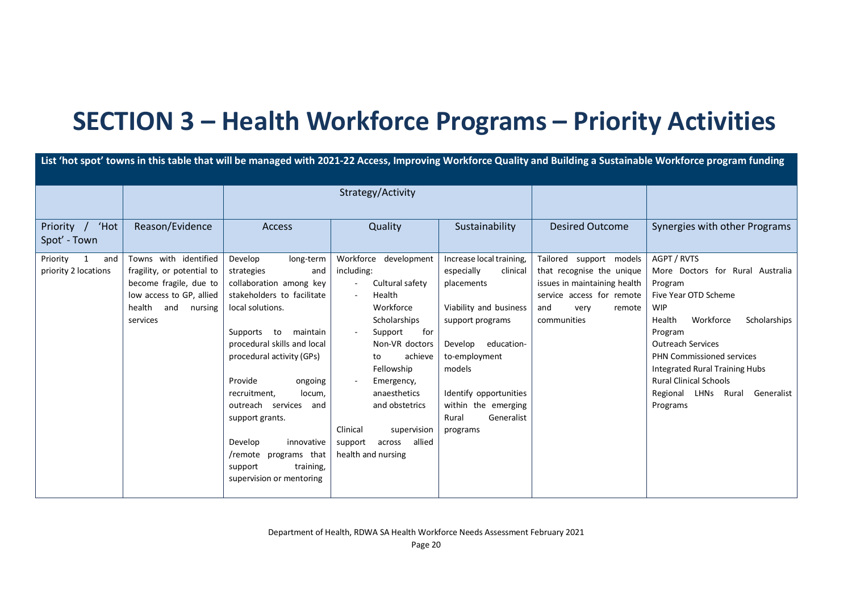## **SECTION 3 – Health Workforce Programs – Priority Activities**

| Strategy/Activity<br>'Hot<br>Reason/Evidence<br>Sustainability<br>Quality<br><b>Desired Outcome</b><br>Priority<br>Access<br>Spot' - Town<br>Towns with identified<br>AGPT / RVTS<br>Priority<br>Workforce development<br>Increase local training,<br>Tailored support models<br>Develop<br>long-term<br>1<br>and<br>priority 2 locations<br>fragility, or potential to<br>including:<br>especially<br>that recognise the unique<br>strategies<br>clinical<br>and<br>become fragile, due to<br>collaboration among key<br>Cultural safety<br>issues in maintaining health<br>placements<br>Program<br>low access to GP, allied<br>stakeholders to facilitate<br>Health<br>service access for remote<br>Five Year OTD Scheme<br>$\sim$<br>Workforce<br>health and<br>local solutions.<br>Viability and business<br><b>WIP</b><br>nursing<br>and<br>remote<br>very<br>Workforce<br>services<br>Scholarships<br>communities<br>Health<br>support programs<br>Supports to maintain<br>Support<br>for<br>Program<br>procedural skills and local<br>Non-VR doctors<br>education-<br><b>Outreach Services</b><br>Develop<br>procedural activity (GPs)<br>achieve<br>to-employment<br><b>PHN Commissioned services</b><br>to<br>models<br>Integrated Rural Training Hubs<br>Fellowship<br><b>Rural Clinical Schools</b><br>Provide<br>ongoing<br>Emergency,<br>anaesthetics<br>Regional LHNs Rural<br>recruitment,<br>locum, | List 'hot spot' towns in this table that will be managed with 2021-22 Access, Improving Workforce Quality and Building a Sustainable Workforce program funding |  |  |  |                        |  |                                                                |
|----------------------------------------------------------------------------------------------------------------------------------------------------------------------------------------------------------------------------------------------------------------------------------------------------------------------------------------------------------------------------------------------------------------------------------------------------------------------------------------------------------------------------------------------------------------------------------------------------------------------------------------------------------------------------------------------------------------------------------------------------------------------------------------------------------------------------------------------------------------------------------------------------------------------------------------------------------------------------------------------------------------------------------------------------------------------------------------------------------------------------------------------------------------------------------------------------------------------------------------------------------------------------------------------------------------------------------------------------------------------------------------------------------------------|----------------------------------------------------------------------------------------------------------------------------------------------------------------|--|--|--|------------------------|--|----------------------------------------------------------------|
|                                                                                                                                                                                                                                                                                                                                                                                                                                                                                                                                                                                                                                                                                                                                                                                                                                                                                                                                                                                                                                                                                                                                                                                                                                                                                                                                                                                                                      |                                                                                                                                                                |  |  |  |                        |  |                                                                |
|                                                                                                                                                                                                                                                                                                                                                                                                                                                                                                                                                                                                                                                                                                                                                                                                                                                                                                                                                                                                                                                                                                                                                                                                                                                                                                                                                                                                                      |                                                                                                                                                                |  |  |  |                        |  | Synergies with other Programs                                  |
| within the emerging<br>outreach services and<br>and obstetrics<br>Programs<br>Generalist<br>support grants.<br>Rural<br>Clinical<br>supervision<br>programs<br>allied<br>Develop<br>innovative<br>support<br>across<br>/remote programs that<br>health and nursing<br>support<br>training,<br>supervision or mentoring                                                                                                                                                                                                                                                                                                                                                                                                                                                                                                                                                                                                                                                                                                                                                                                                                                                                                                                                                                                                                                                                                               |                                                                                                                                                                |  |  |  | Identify opportunities |  | More Doctors for Rural Australia<br>Scholarships<br>Generalist |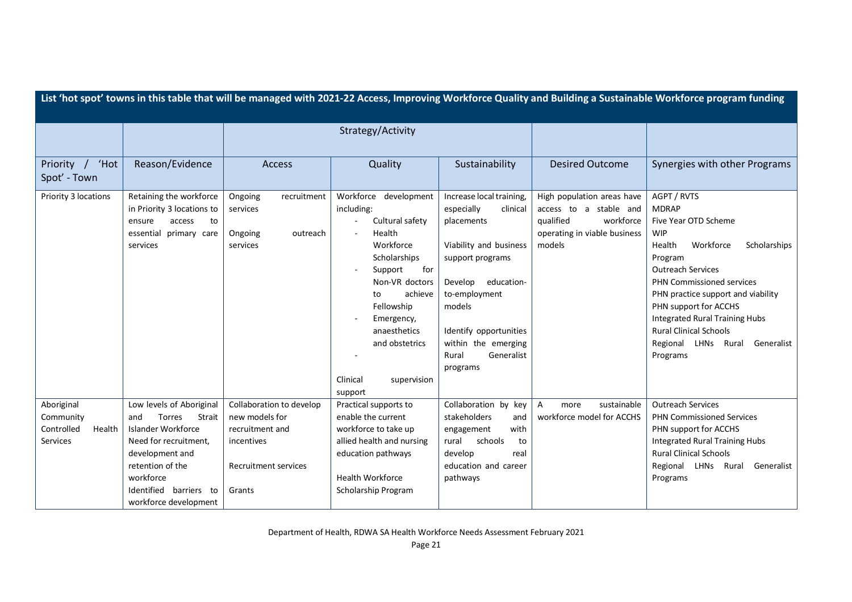| List 'hot spot' towns in this table that will be managed with 2021-22 Access, Improving Workforce Quality and Building a Sustainable Workforce program funding |                                                                                                                                                                                                                  |                                                                                                                      |                                                                                                                                                                                                                                                        |                                                                                                                                                                                                                                                        |                                                                                                                          |                                                                                                                                                                                                                                                                                                                                                                 |
|----------------------------------------------------------------------------------------------------------------------------------------------------------------|------------------------------------------------------------------------------------------------------------------------------------------------------------------------------------------------------------------|----------------------------------------------------------------------------------------------------------------------|--------------------------------------------------------------------------------------------------------------------------------------------------------------------------------------------------------------------------------------------------------|--------------------------------------------------------------------------------------------------------------------------------------------------------------------------------------------------------------------------------------------------------|--------------------------------------------------------------------------------------------------------------------------|-----------------------------------------------------------------------------------------------------------------------------------------------------------------------------------------------------------------------------------------------------------------------------------------------------------------------------------------------------------------|
|                                                                                                                                                                |                                                                                                                                                                                                                  |                                                                                                                      | Strategy/Activity                                                                                                                                                                                                                                      |                                                                                                                                                                                                                                                        |                                                                                                                          |                                                                                                                                                                                                                                                                                                                                                                 |
|                                                                                                                                                                |                                                                                                                                                                                                                  |                                                                                                                      |                                                                                                                                                                                                                                                        |                                                                                                                                                                                                                                                        |                                                                                                                          |                                                                                                                                                                                                                                                                                                                                                                 |
| 'Hot<br>Priority /<br>Spot' - Town                                                                                                                             | Reason/Evidence                                                                                                                                                                                                  | <b>Access</b>                                                                                                        | Quality                                                                                                                                                                                                                                                | Sustainability                                                                                                                                                                                                                                         | <b>Desired Outcome</b>                                                                                                   | Synergies with other Programs                                                                                                                                                                                                                                                                                                                                   |
| Priority 3 locations                                                                                                                                           | Retaining the workforce<br>in Priority 3 locations to<br>ensure<br>access<br>to<br>essential<br>primary care<br>services                                                                                         | Ongoing<br>recruitment<br>services<br>Ongoing<br>outreach<br>services                                                | Workforce development<br>including:<br>Cultural safety<br>Health<br>Workforce<br>Scholarships<br>Support<br>for<br>Non-VR doctors<br>achieve<br>to<br>Fellowship<br>Emergency,<br>anaesthetics<br>and obstetrics<br>Clinical<br>supervision<br>support | Increase local training,<br>especially<br>clinical<br>placements<br>Viability and business<br>support programs<br>Develop<br>education-<br>to-employment<br>models<br>Identify opportunities<br>within the emerging<br>Rural<br>Generalist<br>programs | High population areas have<br>access to a stable and<br>qualified<br>workforce<br>operating in viable business<br>models | AGPT / RVTS<br><b>MDRAP</b><br>Five Year OTD Scheme<br><b>WIP</b><br>Workforce<br>Health<br>Scholarships<br>Program<br><b>Outreach Services</b><br>PHN Commissioned services<br>PHN practice support and viability<br>PHN support for ACCHS<br>Integrated Rural Training Hubs<br><b>Rural Clinical Schools</b><br>Regional LHNs Rural<br>Generalist<br>Programs |
| Aboriginal<br>Community<br>Controlled<br>Health<br>Services                                                                                                    | Low levels of Aboriginal<br>Strait<br><b>Torres</b><br>and<br>Islander Workforce<br>Need for recruitment,<br>development and<br>retention of the<br>workforce<br>Identified barriers to<br>workforce development | Collaboration to develop<br>new models for<br>recruitment and<br>incentives<br><b>Recruitment services</b><br>Grants | Practical supports to<br>enable the current<br>workforce to take up<br>allied health and nursing<br>education pathways<br><b>Health Workforce</b><br>Scholarship Program                                                                               | Collaboration by key<br>stakeholders<br>and<br>with<br>engagement<br>rural<br>schools<br>to<br>develop<br>real<br>education and career<br>pathways                                                                                                     | sustainable<br>Α<br>more<br>workforce model for ACCHS                                                                    | <b>Outreach Services</b><br><b>PHN Commissioned Services</b><br>PHN support for ACCHS<br><b>Integrated Rural Training Hubs</b><br><b>Rural Clinical Schools</b><br>Regional LHNs Rural<br>Generalist<br>Programs                                                                                                                                                |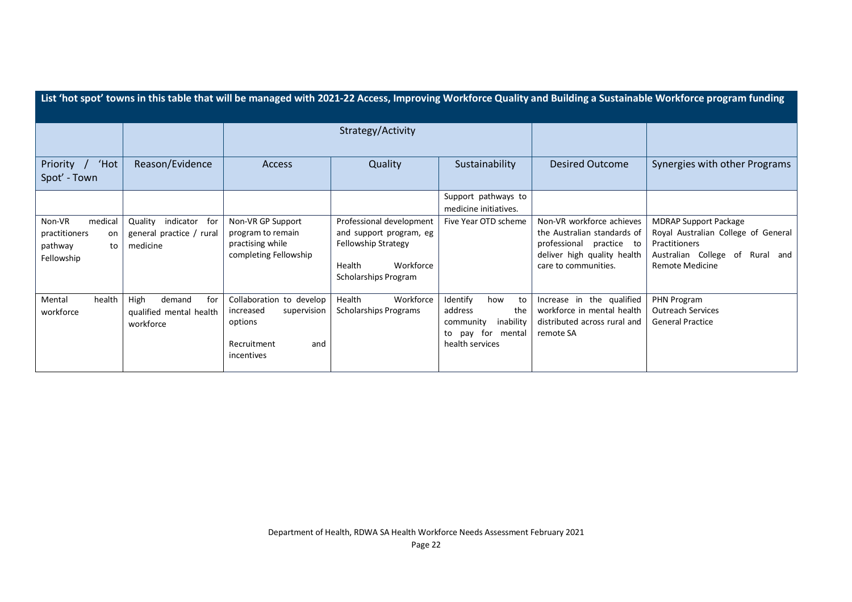|                                                                         |                                                                  |                                                                                                     |                                                                                                                           |                                                                                                           |                                                                                                                                             | List 'hot spot' towns in this table that will be managed with 2021-22 Access, Improving Workforce Quality and Building a Sustainable Workforce program funding |
|-------------------------------------------------------------------------|------------------------------------------------------------------|-----------------------------------------------------------------------------------------------------|---------------------------------------------------------------------------------------------------------------------------|-----------------------------------------------------------------------------------------------------------|---------------------------------------------------------------------------------------------------------------------------------------------|----------------------------------------------------------------------------------------------------------------------------------------------------------------|
|                                                                         |                                                                  |                                                                                                     | Strategy/Activity                                                                                                         |                                                                                                           |                                                                                                                                             |                                                                                                                                                                |
| 'Hot<br>Priority /<br>Spot' - Town                                      | Reason/Evidence                                                  | Access                                                                                              | Quality                                                                                                                   | Sustainability                                                                                            | <b>Desired Outcome</b>                                                                                                                      | Synergies with other Programs                                                                                                                                  |
|                                                                         |                                                                  |                                                                                                     |                                                                                                                           | Support pathways to<br>medicine initiatives.                                                              |                                                                                                                                             |                                                                                                                                                                |
| medical<br>Non-VR<br>practitioners<br>on<br>pathway<br>to<br>Fellowship | indicator for<br>Quality<br>general practice / rural<br>medicine | Non-VR GP Support<br>program to remain<br>practising while<br>completing Fellowship                 | Professional development<br>and support program, eg<br>Fellowship Strategy<br>Workforce<br>Health<br>Scholarships Program | Five Year OTD scheme                                                                                      | Non-VR workforce achieves<br>the Australian standards of<br>professional practice to<br>deliver high quality health<br>care to communities. | <b>MDRAP Support Package</b><br>Royal Australian College of General<br>Practitioners<br>Australian College of Rural and<br><b>Remote Medicine</b>              |
| health<br>Mental<br>workforce                                           | High<br>for<br>demand<br>qualified mental health<br>workforce    | Collaboration to develop<br>supervision<br>increased<br>options<br>Recruitment<br>and<br>incentives | Health<br>Workforce<br><b>Scholarships Programs</b>                                                                       | Identify<br>how<br>to<br>the<br>address<br>inability<br>community<br>to pay for mental<br>health services | Increase in the qualified<br>workforce in mental health<br>distributed across rural and<br>remote SA                                        | PHN Program<br><b>Outreach Services</b><br><b>General Practice</b>                                                                                             |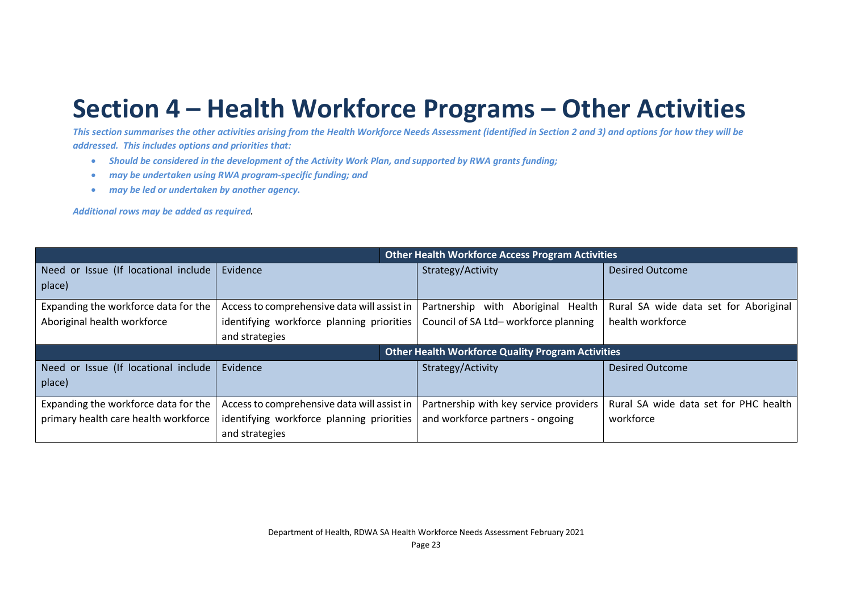## **Section 4 – Health Workforce Programs – Other Activities**

*This section summarises the other activities arising from the Health Workforce Needs Assessment (identified in Section 2 and 3) and options for how they will be addressed. This includes options and priorities that:*

- *Should be considered in the development of the Activity Work Plan, and supported by RWA grants funding;*
- *may be undertaken using RWA program-specific funding; and*
- *may be led or undertaken by another agency.*

*Additional rows may be added as required.*

|                                                          | <b>Other Health Workforce Access Program Activities</b> |                                        |                                       |
|----------------------------------------------------------|---------------------------------------------------------|----------------------------------------|---------------------------------------|
| Need or Issue (If locational include                     | Evidence                                                | Strategy/Activity                      | <b>Desired Outcome</b>                |
| place)                                                   |                                                         |                                        |                                       |
| Expanding the workforce data for the                     | Access to comprehensive data will assist in             | Partnership with<br>Aboriginal Health  | Rural SA wide data set for Aboriginal |
| Aboriginal health workforce                              | identifying workforce planning priorities               | Council of SA Ltd-workforce planning   | health workforce                      |
|                                                          | and strategies                                          |                                        |                                       |
| <b>Other Health Workforce Quality Program Activities</b> |                                                         |                                        |                                       |
| Need or Issue (If locational include                     | Evidence                                                | Strategy/Activity                      | <b>Desired Outcome</b>                |
| place)                                                   |                                                         |                                        |                                       |
| Expanding the workforce data for the                     | Access to comprehensive data will assist in             | Partnership with key service providers | Rural SA wide data set for PHC health |
| primary health care health workforce                     | identifying workforce planning priorities               | and workforce partners - ongoing       | workforce                             |
|                                                          | and strategies                                          |                                        |                                       |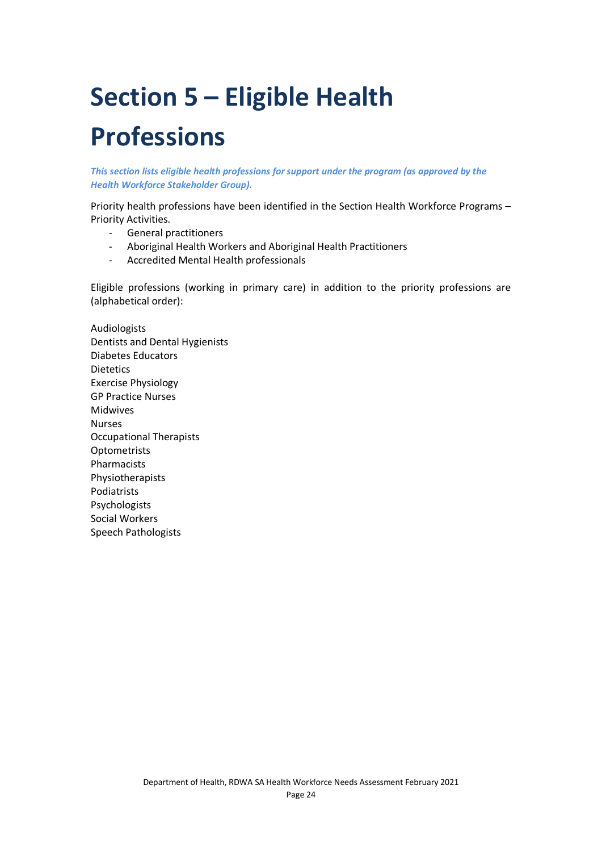# **Section 5 – Eligible Health Professions**

*This section lists eligible health professions for support under the program (as approved by the Health Workforce Stakeholder Group).*

Priority health professions have been identified in the Section Health Workforce Programs – Priority Activities.

- General practitioners
- Aboriginal Health Workers and Aboriginal Health Practitioners
- Accredited Mental Health professionals

Eligible professions (working in primary care) in addition to the priority professions are (alphabetical order):

Audiologists Dentists and Dental Hygienists Diabetes Educators **Dietetics** Exercise Physiology GP Practice Nurses Midwives Nurses Occupational Therapists **Optometrists** Pharmacists Physiotherapists Podiatrists Psychologists Social Workers Speech Pathologists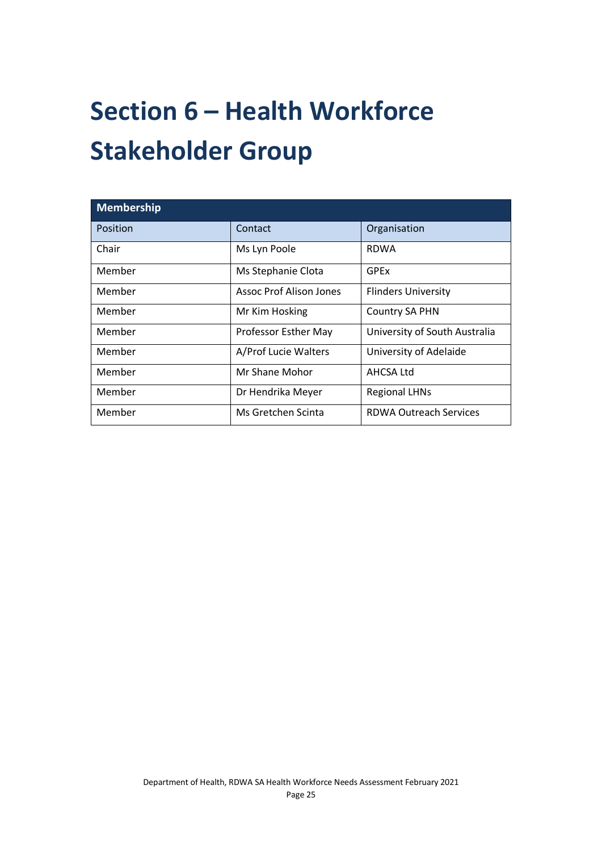# **Section 6 – Health Workforce Stakeholder Group**

| Membership |                                |                               |  |  |
|------------|--------------------------------|-------------------------------|--|--|
| Position   | Contact                        | Organisation                  |  |  |
| Chair      | Ms Lyn Poole                   | <b>RDWA</b>                   |  |  |
| Member     | Ms Stephanie Clota             | GPEx                          |  |  |
| Member     | <b>Assoc Prof Alison Jones</b> | <b>Flinders University</b>    |  |  |
| Member     | Mr Kim Hosking                 | <b>Country SA PHN</b>         |  |  |
| Member     | Professor Esther May           | University of South Australia |  |  |
| Member     | A/Prof Lucie Walters           | University of Adelaide        |  |  |
| Member     | Mr Shane Mohor                 | AHCSA Ltd                     |  |  |
| Member     | Dr Hendrika Meyer              | <b>Regional LHNs</b>          |  |  |
| Member     | Ms Gretchen Scinta             | <b>RDWA Outreach Services</b> |  |  |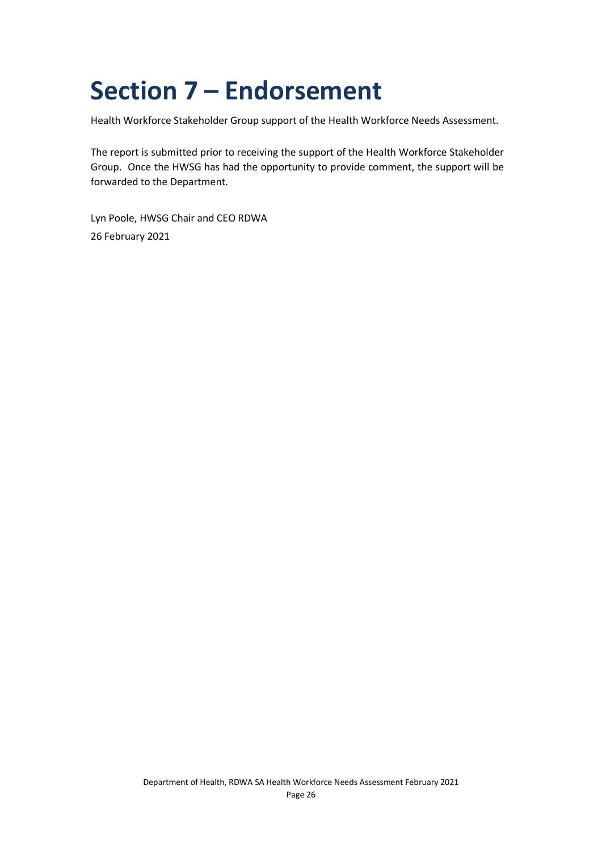## **Section 7 – Endorsement**

Health Workforce Stakeholder Group support of the Health Workforce Needs Assessment.

The report is submitted prior to receiving the support of the Health Workforce Stakeholder Group. Once the HWSG has had the opportunity to provide comment, the support will be forwarded to the Department.

Lyn Poole, HWSG Chair and CEO RDWA 26 February 2021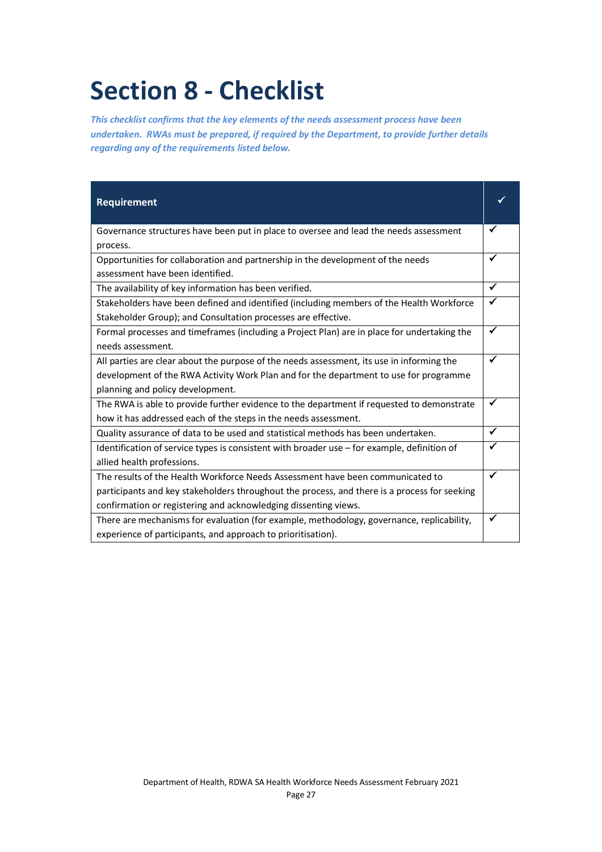## **Section 8 - Checklist**

*This checklist confirms that the key elements of the needs assessment process have been undertaken. RWAs must be prepared, if required by the Department, to provide further details regarding any of the requirements listed below.*

| <b>Requirement</b>                                                                           |              |
|----------------------------------------------------------------------------------------------|--------------|
| Governance structures have been put in place to oversee and lead the needs assessment        |              |
| process.                                                                                     |              |
| Opportunities for collaboration and partnership in the development of the needs              | $\checkmark$ |
| assessment have been identified.                                                             |              |
| The availability of key information has been verified.                                       | $\checkmark$ |
| Stakeholders have been defined and identified (including members of the Health Workforce     | ✓            |
| Stakeholder Group); and Consultation processes are effective.                                |              |
| Formal processes and timeframes (including a Project Plan) are in place for undertaking the  | ✓            |
| needs assessment.                                                                            |              |
| All parties are clear about the purpose of the needs assessment, its use in informing the    | $\checkmark$ |
| development of the RWA Activity Work Plan and for the department to use for programme        |              |
| planning and policy development.                                                             |              |
| The RWA is able to provide further evidence to the department if requested to demonstrate    |              |
| how it has addressed each of the steps in the needs assessment.                              |              |
| Quality assurance of data to be used and statistical methods has been undertaken.            | $\checkmark$ |
| Identification of service types is consistent with broader use - for example, definition of  |              |
| allied health professions.                                                                   |              |
| The results of the Health Workforce Needs Assessment have been communicated to               |              |
| participants and key stakeholders throughout the process, and there is a process for seeking |              |
| confirmation or registering and acknowledging dissenting views.                              |              |
| There are mechanisms for evaluation (for example, methodology, governance, replicability,    |              |
| experience of participants, and approach to prioritisation).                                 |              |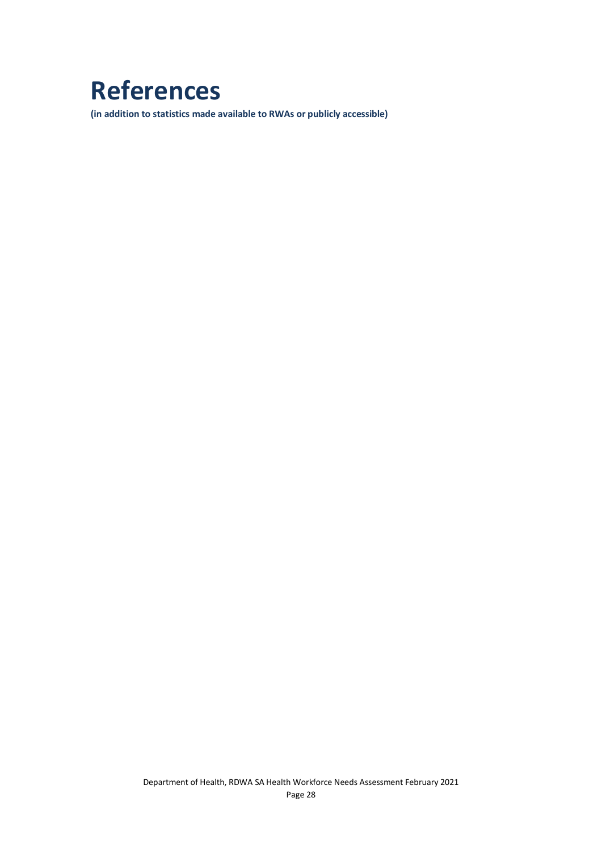## **References**

**(in addition to statistics made available to RWAs or publicly accessible)**